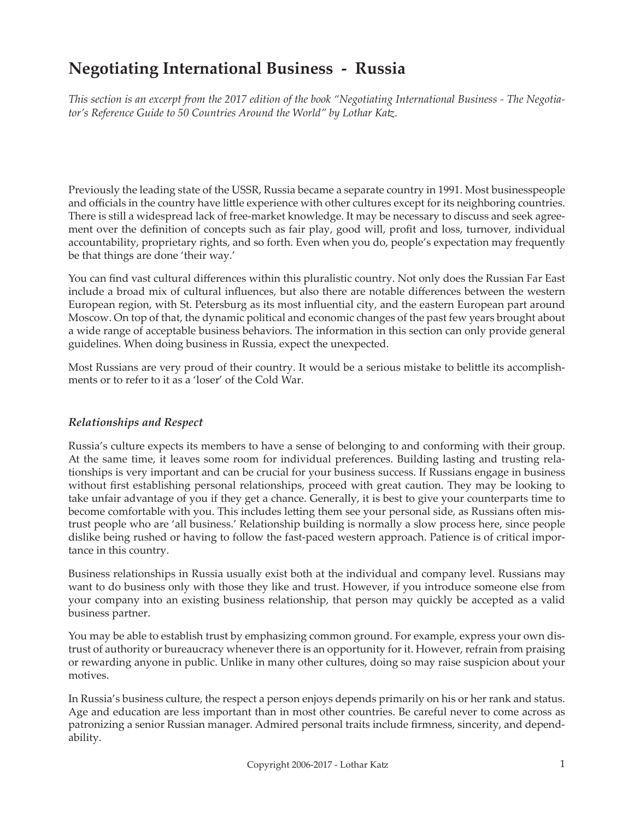# **Negotiating International Business - Russia**

*This section is an excerpt from the 2017 edition of the book "Negotiating International Business - The Negotiator's Reference Guide to 50 Countries Around the World" by Lothar Katz.*

Previously the leading state of the USSR, Russia became a separate country in 1991. Most businesspeople and officials in the country have little experience with other cultures except for its neighboring countries. There is still a widespread lack of free-market knowledge. It may be necessary to discuss and seek agreement over the definition of concepts such as fair play, good will, profit and loss, turnover, individual accountability, proprietary rights, and so forth. Even when you do, people's expectation may frequently be that things are done 'their way.'

You can find vast cultural differences within this pluralistic country. Not only does the Russian Far East include a broad mix of cultural influences, but also there are notable differences between the western European region, with St. Petersburg as its most influential city, and the eastern European part around Moscow. On top of that, the dynamic political and economic changes of the past few years brought about a wide range of acceptable business behaviors. The information in this section can only provide general guidelines. When doing business in Russia, expect the unexpected.

Most Russians are very proud of their country. It would be a serious mistake to belittle its accomplishments or to refer to it as a 'loser' of the Cold War.

### *Relationships and Respect*

Russia's culture expects its members to have a sense of belonging to and conforming with their group. At the same time, it leaves some room for individual preferences. Building lasting and trusting relationships is very important and can be crucial for your business success. If Russians engage in business without first establishing personal relationships, proceed with great caution. They may be looking to take unfair advantage of you if they get a chance. Generally, it is best to give your counterparts time to become comfortable with you. This includes letting them see your personal side, as Russians often mistrust people who are 'all business.' Relationship building is normally a slow process here, since people dislike being rushed or having to follow the fast-paced western approach. Patience is of critical importance in this country.

Business relationships in Russia usually exist both at the individual and company level. Russians may want to do business only with those they like and trust. However, if you introduce someone else from your company into an existing business relationship, that person may quickly be accepted as a valid business partner.

You may be able to establish trust by emphasizing common ground. For example, express your own distrust of authority or bureaucracy whenever there is an opportunity for it. However, refrain from praising or rewarding anyone in public. Unlike in many other cultures, doing so may raise suspicion about your motives.

In Russia's business culture, the respect a person enjoys depends primarily on his or her rank and status. Age and education are less important than in most other countries. Be careful never to come across as patronizing a senior Russian manager. Admired personal traits include firmness, sincerity, and dependability.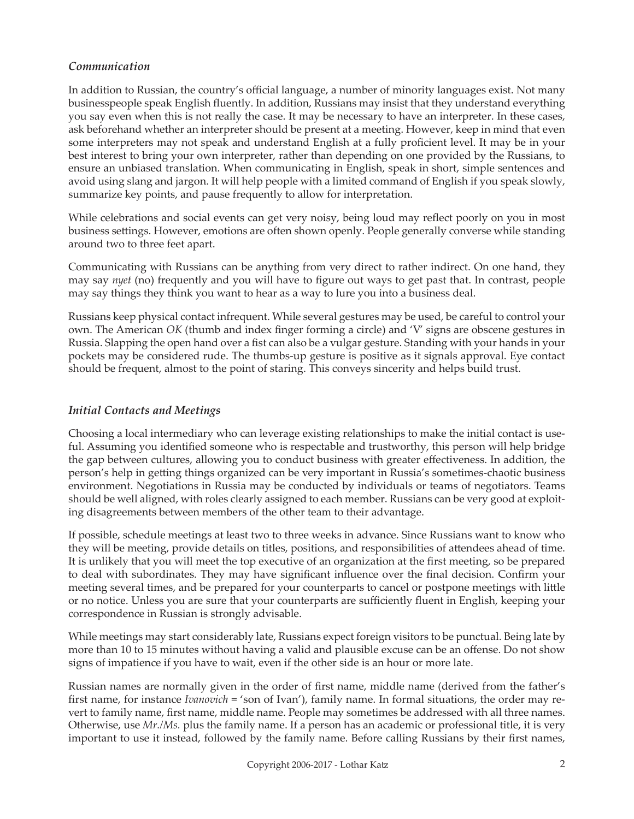### *Communication*

In addition to Russian, the country's official language, a number of minority languages exist. Not many businesspeople speak English fluently. In addition, Russians may insist that they understand everything you say even when this is not really the case. It may be necessary to have an interpreter. In these cases, ask beforehand whether an interpreter should be present at a meeting. However, keep in mind that even some interpreters may not speak and understand English at a fully proficient level. It may be in your best interest to bring your own interpreter, rather than depending on one provided by the Russians, to ensure an unbiased translation. When communicating in English, speak in short, simple sentences and avoid using slang and jargon. It will help people with a limited command of English if you speak slowly, summarize key points, and pause frequently to allow for interpretation.

While celebrations and social events can get very noisy, being loud may reflect poorly on you in most business settings. However, emotions are often shown openly. People generally converse while standing around two to three feet apart.

Communicating with Russians can be anything from very direct to rather indirect. On one hand, they may say *nyet* (no) frequently and you will have to figure out ways to get past that. In contrast, people may say things they think you want to hear as a way to lure you into a business deal.

Russians keep physical contact infrequent. While several gestures may be used, be careful to control your own. The American *OK* (thumb and index finger forming a circle) and 'V' signs are obscene gestures in Russia. Slapping the open hand over a fist can also be a vulgar gesture. Standing with your hands in your pockets may be considered rude. The thumbs-up gesture is positive as it signals approval. Eye contact should be frequent, almost to the point of staring. This conveys sincerity and helps build trust.

### *Initial Contacts and Meetings*

Choosing a local intermediary who can leverage existing relationships to make the initial contact is useful. Assuming you identified someone who is respectable and trustworthy, this person will help bridge the gap between cultures, allowing you to conduct business with greater effectiveness. In addition, the person's help in getting things organized can be very important in Russia's sometimes-chaotic business environment. Negotiations in Russia may be conducted by individuals or teams of negotiators. Teams should be well aligned, with roles clearly assigned to each member. Russians can be very good at exploiting disagreements between members of the other team to their advantage.

If possible, schedule meetings at least two to three weeks in advance. Since Russians want to know who they will be meeting, provide details on titles, positions, and responsibilities of attendees ahead of time. It is unlikely that you will meet the top executive of an organization at the first meeting, so be prepared to deal with subordinates. They may have significant influence over the final decision. Confirm your meeting several times, and be prepared for your counterparts to cancel or postpone meetings with little or no notice. Unless you are sure that your counterparts are sufficiently fluent in English, keeping your correspondence in Russian is strongly advisable.

While meetings may start considerably late, Russians expect foreign visitors to be punctual. Being late by more than 10 to 15 minutes without having a valid and plausible excuse can be an offense. Do not show signs of impatience if you have to wait, even if the other side is an hour or more late.

Russian names are normally given in the order of first name, middle name (derived from the father's first name, for instance *Ivanovich* = 'son of Ivan'), family name. In formal situations, the order may revert to family name, first name, middle name. People may sometimes be addressed with all three names. Otherwise, use *Mr./Ms.* plus the family name. If a person has an academic or professional title, it is very important to use it instead, followed by the family name. Before calling Russians by their first names,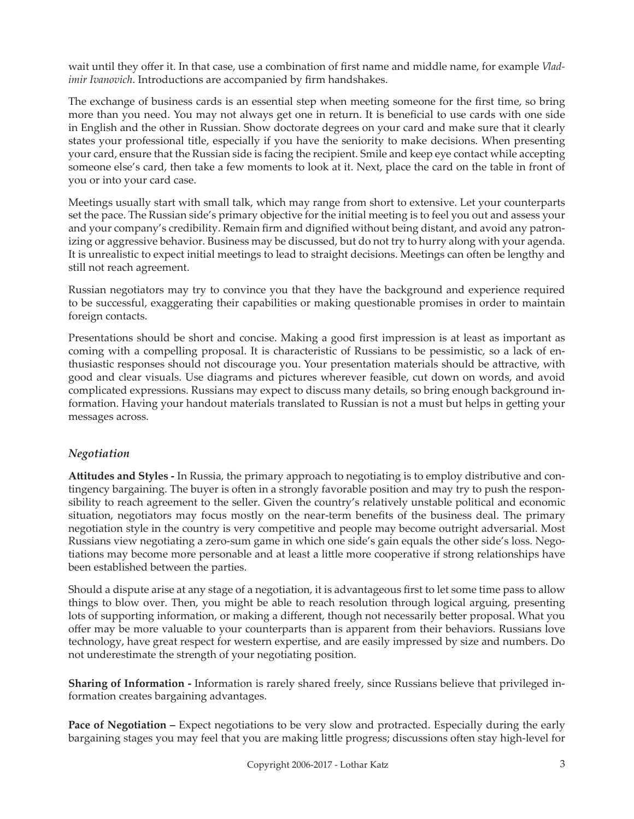wait until they offer it. In that case, use a combination of first name and middle name, for example *Vladimir Ivanovich*. Introductions are accompanied by firm handshakes.

The exchange of business cards is an essential step when meeting someone for the first time, so bring more than you need. You may not always get one in return. It is beneficial to use cards with one side in English and the other in Russian. Show doctorate degrees on your card and make sure that it clearly states your professional title, especially if you have the seniority to make decisions. When presenting your card, ensure that the Russian side is facing the recipient. Smile and keep eye contact while accepting someone else's card, then take a few moments to look at it. Next, place the card on the table in front of you or into your card case.

Meetings usually start with small talk, which may range from short to extensive. Let your counterparts set the pace. The Russian side's primary objective for the initial meeting is to feel you out and assess your and your company's credibility. Remain firm and dignified without being distant, and avoid any patronizing or aggressive behavior. Business may be discussed, but do not try to hurry along with your agenda. It is unrealistic to expect initial meetings to lead to straight decisions. Meetings can often be lengthy and still not reach agreement.

Russian negotiators may try to convince you that they have the background and experience required to be successful, exaggerating their capabilities or making questionable promises in order to maintain foreign contacts.

Presentations should be short and concise. Making a good first impression is at least as important as coming with a compelling proposal. It is characteristic of Russians to be pessimistic, so a lack of enthusiastic responses should not discourage you. Your presentation materials should be attractive, with good and clear visuals. Use diagrams and pictures wherever feasible, cut down on words, and avoid complicated expressions. Russians may expect to discuss many details, so bring enough background information. Having your handout materials translated to Russian is not a must but helps in getting your messages across.

### *Negotiation*

**Attitudes and Styles -** In Russia, the primary approach to negotiating is to employ distributive and contingency bargaining. The buyer is often in a strongly favorable position and may try to push the responsibility to reach agreement to the seller. Given the country's relatively unstable political and economic situation, negotiators may focus mostly on the near-term benefits of the business deal. The primary negotiation style in the country is very competitive and people may become outright adversarial. Most Russians view negotiating a zero-sum game in which one side's gain equals the other side's loss. Negotiations may become more personable and at least a little more cooperative if strong relationships have been established between the parties.

Should a dispute arise at any stage of a negotiation, it is advantageous first to let some time pass to allow things to blow over. Then, you might be able to reach resolution through logical arguing, presenting lots of supporting information, or making a different, though not necessarily better proposal. What you offer may be more valuable to your counterparts than is apparent from their behaviors. Russians love technology, have great respect for western expertise, and are easily impressed by size and numbers. Do not underestimate the strength of your negotiating position.

**Sharing of Information -** Information is rarely shared freely, since Russians believe that privileged information creates bargaining advantages.

**Pace of Negotiation –** Expect negotiations to be very slow and protracted. Especially during the early bargaining stages you may feel that you are making little progress; discussions often stay high-level for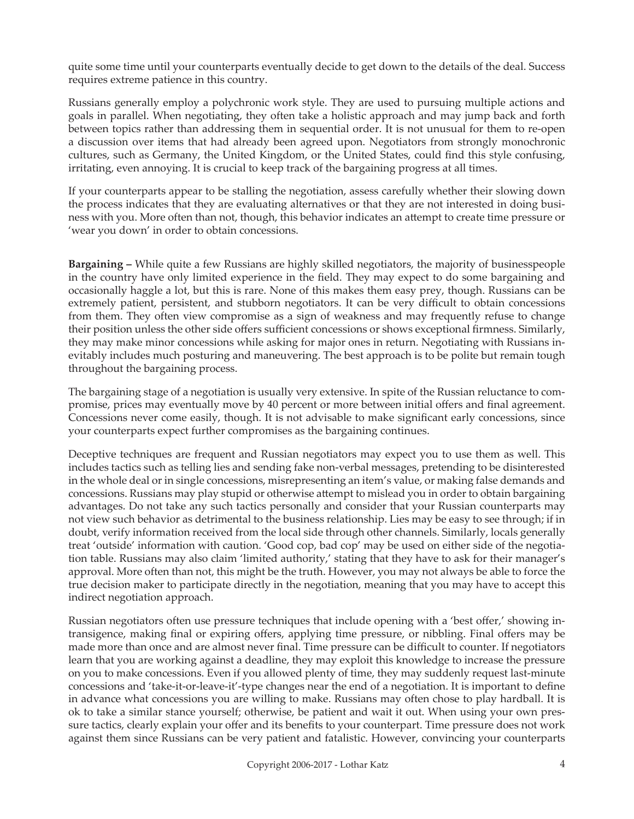quite some time until your counterparts eventually decide to get down to the details of the deal. Success requires extreme patience in this country.

Russians generally employ a polychronic work style. They are used to pursuing multiple actions and goals in parallel. When negotiating, they often take a holistic approach and may jump back and forth between topics rather than addressing them in sequential order. It is not unusual for them to re-open a discussion over items that had already been agreed upon. Negotiators from strongly monochronic cultures, such as Germany, the United Kingdom, or the United States, could find this style confusing, irritating, even annoying. It is crucial to keep track of the bargaining progress at all times.

If your counterparts appear to be stalling the negotiation, assess carefully whether their slowing down the process indicates that they are evaluating alternatives or that they are not interested in doing business with you. More often than not, though, this behavior indicates an attempt to create time pressure or 'wear you down' in order to obtain concessions.

**Bargaining –** While quite a few Russians are highly skilled negotiators, the majority of businesspeople in the country have only limited experience in the field. They may expect to do some bargaining and occasionally haggle a lot, but this is rare. None of this makes them easy prey, though. Russians can be extremely patient, persistent, and stubborn negotiators. It can be very difficult to obtain concessions from them. They often view compromise as a sign of weakness and may frequently refuse to change their position unless the other side offers sufficient concessions or shows exceptional firmness. Similarly, they may make minor concessions while asking for major ones in return. Negotiating with Russians inevitably includes much posturing and maneuvering. The best approach is to be polite but remain tough throughout the bargaining process.

The bargaining stage of a negotiation is usually very extensive. In spite of the Russian reluctance to compromise, prices may eventually move by 40 percent or more between initial offers and final agreement. Concessions never come easily, though. It is not advisable to make significant early concessions, since your counterparts expect further compromises as the bargaining continues.

Deceptive techniques are frequent and Russian negotiators may expect you to use them as well. This includes tactics such as telling lies and sending fake non-verbal messages, pretending to be disinterested in the whole deal or in single concessions, misrepresenting an item's value, or making false demands and concessions. Russians may play stupid or otherwise attempt to mislead you in order to obtain bargaining advantages. Do not take any such tactics personally and consider that your Russian counterparts may not view such behavior as detrimental to the business relationship. Lies may be easy to see through; if in doubt, verify information received from the local side through other channels. Similarly, locals generally treat 'outside' information with caution. 'Good cop, bad cop' may be used on either side of the negotiation table. Russians may also claim 'limited authority,' stating that they have to ask for their manager's approval. More often than not, this might be the truth. However, you may not always be able to force the true decision maker to participate directly in the negotiation, meaning that you may have to accept this indirect negotiation approach.

Russian negotiators often use pressure techniques that include opening with a 'best offer,' showing intransigence, making final or expiring offers, applying time pressure, or nibbling. Final offers may be made more than once and are almost never final. Time pressure can be difficult to counter. If negotiators learn that you are working against a deadline, they may exploit this knowledge to increase the pressure on you to make concessions. Even if you allowed plenty of time, they may suddenly request last-minute concessions and 'take-it-or-leave-it'-type changes near the end of a negotiation. It is important to define in advance what concessions you are willing to make. Russians may often chose to play hardball. It is ok to take a similar stance yourself; otherwise, be patient and wait it out. When using your own pressure tactics, clearly explain your offer and its benefits to your counterpart. Time pressure does not work against them since Russians can be very patient and fatalistic. However, convincing your counterparts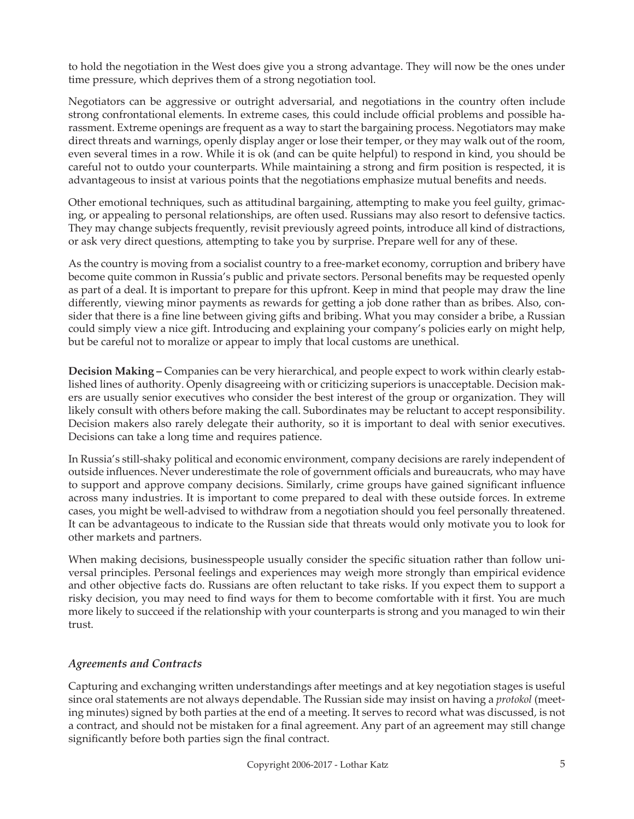to hold the negotiation in the West does give you a strong advantage. They will now be the ones under time pressure, which deprives them of a strong negotiation tool.

Negotiators can be aggressive or outright adversarial, and negotiations in the country often include strong confrontational elements. In extreme cases, this could include official problems and possible harassment. Extreme openings are frequent as a way to start the bargaining process. Negotiators may make direct threats and warnings, openly display anger or lose their temper, or they may walk out of the room, even several times in a row. While it is ok (and can be quite helpful) to respond in kind, you should be careful not to outdo your counterparts. While maintaining a strong and firm position is respected, it is advantageous to insist at various points that the negotiations emphasize mutual benefits and needs.

Other emotional techniques, such as attitudinal bargaining, attempting to make you feel guilty, grimacing, or appealing to personal relationships, are often used. Russians may also resort to defensive tactics. They may change subjects frequently, revisit previously agreed points, introduce all kind of distractions, or ask very direct questions, attempting to take you by surprise. Prepare well for any of these.

As the country is moving from a socialist country to a free-market economy, corruption and bribery have become quite common in Russia's public and private sectors. Personal benefits may be requested openly as part of a deal. It is important to prepare for this upfront. Keep in mind that people may draw the line differently, viewing minor payments as rewards for getting a job done rather than as bribes. Also, consider that there is a fine line between giving gifts and bribing. What you may consider a bribe, a Russian could simply view a nice gift. Introducing and explaining your company's policies early on might help, but be careful not to moralize or appear to imply that local customs are unethical.

**Decision Making –** Companies can be very hierarchical, and people expect to work within clearly established lines of authority. Openly disagreeing with or criticizing superiors is unacceptable. Decision makers are usually senior executives who consider the best interest of the group or organization. They will likely consult with others before making the call. Subordinates may be reluctant to accept responsibility. Decision makers also rarely delegate their authority, so it is important to deal with senior executives. Decisions can take a long time and requires patience.

In Russia's still-shaky political and economic environment, company decisions are rarely independent of outside influences. Never underestimate the role of government officials and bureaucrats, who may have to support and approve company decisions. Similarly, crime groups have gained significant influence across many industries. It is important to come prepared to deal with these outside forces. In extreme cases, you might be well-advised to withdraw from a negotiation should you feel personally threatened. It can be advantageous to indicate to the Russian side that threats would only motivate you to look for other markets and partners.

When making decisions, businesspeople usually consider the specific situation rather than follow universal principles. Personal feelings and experiences may weigh more strongly than empirical evidence and other objective facts do. Russians are often reluctant to take risks. If you expect them to support a risky decision, you may need to find ways for them to become comfortable with it first. You are much more likely to succeed if the relationship with your counterparts is strong and you managed to win their trust.

## *Agreements and Contracts*

Capturing and exchanging written understandings after meetings and at key negotiation stages is useful since oral statements are not always dependable. The Russian side may insist on having a *protokol* (meeting minutes) signed by both parties at the end of a meeting. It serves to record what was discussed, is not a contract, and should not be mistaken for a final agreement. Any part of an agreement may still change significantly before both parties sign the final contract.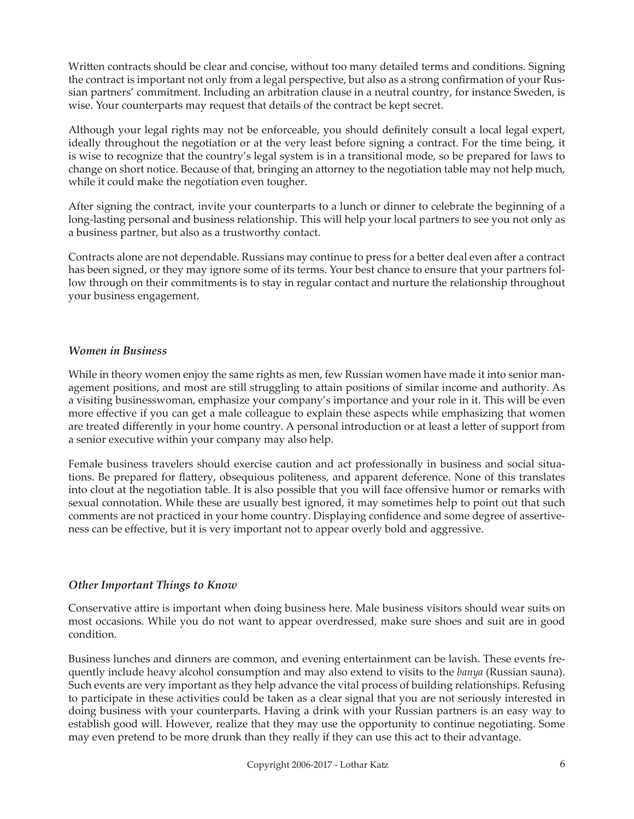Written contracts should be clear and concise, without too many detailed terms and conditions. Signing the contract is important not only from a legal perspective, but also as a strong confirmation of your Russian partners' commitment. Including an arbitration clause in a neutral country, for instance Sweden, is wise. Your counterparts may request that details of the contract be kept secret.

Although your legal rights may not be enforceable, you should definitely consult a local legal expert, ideally throughout the negotiation or at the very least before signing a contract. For the time being, it is wise to recognize that the country's legal system is in a transitional mode, so be prepared for laws to change on short notice. Because of that, bringing an attorney to the negotiation table may not help much, while it could make the negotiation even tougher.

After signing the contract, invite your counterparts to a lunch or dinner to celebrate the beginning of a long-lasting personal and business relationship. This will help your local partners to see you not only as a business partner, but also as a trustworthy contact.

Contracts alone are not dependable. Russians may continue to press for a better deal even after a contract has been signed, or they may ignore some of its terms. Your best chance to ensure that your partners follow through on their commitments is to stay in regular contact and nurture the relationship throughout your business engagement.

#### *Women in Business*

While in theory women enjoy the same rights as men, few Russian women have made it into senior management positions, and most are still struggling to attain positions of similar income and authority. As a visiting businesswoman, emphasize your company's importance and your role in it. This will be even more effective if you can get a male colleague to explain these aspects while emphasizing that women are treated differently in your home country. A personal introduction or at least a letter of support from a senior executive within your company may also help.

Female business travelers should exercise caution and act professionally in business and social situations. Be prepared for flattery, obsequious politeness, and apparent deference. None of this translates into clout at the negotiation table. It is also possible that you will face offensive humor or remarks with sexual connotation. While these are usually best ignored, it may sometimes help to point out that such comments are not practiced in your home country. Displaying confidence and some degree of assertiveness can be effective, but it is very important not to appear overly bold and aggressive.

### *Other Important Things to Know*

Conservative attire is important when doing business here. Male business visitors should wear suits on most occasions. While you do not want to appear overdressed, make sure shoes and suit are in good condition.

Business lunches and dinners are common, and evening entertainment can be lavish. These events frequently include heavy alcohol consumption and may also extend to visits to the *banya* (Russian sauna). Such events are very important as they help advance the vital process of building relationships. Refusing to participate in these activities could be taken as a clear signal that you are not seriously interested in doing business with your counterparts. Having a drink with your Russian partners is an easy way to establish good will. However, realize that they may use the opportunity to continue negotiating. Some may even pretend to be more drunk than they really if they can use this act to their advantage.